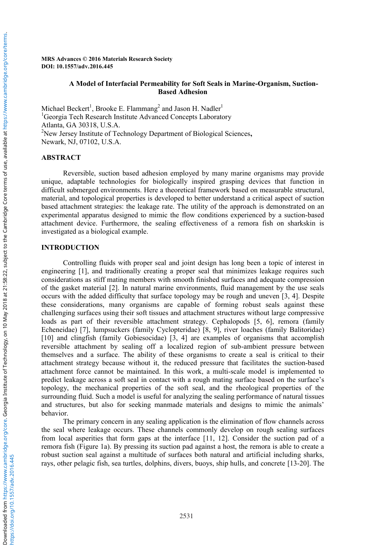Downloaded from

https://doi.org/10.1557/adv.2016.445

https://doi.org/10.1557/adv.2016.445

### **MRS Advances © 2016 Materials Research Society DOI: 10.1557/adv.2016.445**

## **A Model of Interfacial Permeability for Soft Seals in Marine-Organism, Suction-Based Adhesion**

Michael Beckert<sup>1</sup>, Brooke E. Flammang<sup>2</sup> and Jason H. Nadler<sup>1</sup> <sup>1</sup>Georgia Tech Research Institute Advanced Concepts Laboratory Atlanta, GA 30318, U.S.A. 2 New Jersey Institute of Technology Department of Biological Sciences**,**  Newark, NJ, 07102, U.S.A.

## **ABSTRACT**

Reversible, suction based adhesion employed by many marine organisms may provide unique, adaptable technologies for biologically inspired grasping devices that function in difficult submerged environments. Here a theoretical framework based on measurable structural, material, and topological properties is developed to better understand a critical aspect of suction based attachment strategies: the leakage rate. The utility of the approach is demonstrated on an experimental apparatus designed to mimic the flow conditions experienced by a suction-based attachment device. Furthermore, the sealing effectiveness of a remora fish on sharkskin is investigated as a biological example.

## **INTRODUCTION**

Controlling fluids with proper seal and joint design has long been a topic of interest in engineering [1], and traditionally creating a proper seal that minimizes leakage requires such considerations as stiff mating members with smooth finished surfaces and adequate compression of the gasket material [2]. In natural marine environments, fluid management by the use seals occurs with the added difficulty that surface topology may be rough and uneven [3, 4]. Despite these considerations, many organisms are capable of forming robust seals against these challenging surfaces using their soft tissues and attachment structures without large compressive loads as part of their reversible attachment strategy. Cephalopods [5, 6], remora (family Echeneidae) [7], lumpsuckers (family Cyclopteridae) [8, 9], river loaches (family Balitoridae) [10] and clingfish (family Gobiesocidae) [3, 4] are examples of organisms that accomplish reversible attachment by sealing off a localized region of sub-ambient pressure between themselves and a surface. The ability of these organisms to create a seal is critical to their attachment strategy because without it, the reduced pressure that facilitates the suction-based attachment force cannot be maintained. In this work, a multi-scale model is implemented to predict leakage across a soft seal in contact with a rough mating surface based on the surface's topology, the mechanical properties of the soft seal, and the rheological properties of the surrounding fluid. Such a model is useful for analyzing the sealing performance of natural tissues and structures, but also for seeking manmade materials and designs to mimic the animals' behavior.

The primary concern in any sealing application is the elimination of flow channels across the seal where leakage occurs. These channels commonly develop on rough sealing surfaces from local asperities that form gaps at the interface [11, 12]. Consider the suction pad of a remora fish (Figure 1a). By pressing its suction pad against a host, the remora is able to create a robust suction seal against a multitude of surfaces both natural and artificial including sharks, rays, other pelagic fish, sea turtles, dolphins, divers, buoys, ship hulls, and concrete [13-20]. The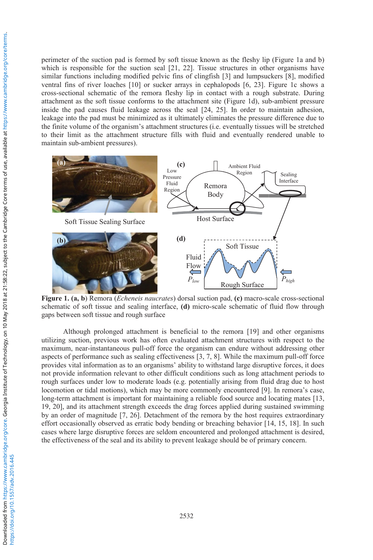perimeter of the suction pad is formed by soft tissue known as the fleshy lip (Figure 1a and b) which is responsible for the suction seal [21, 22]. Tissue structures in other organisms have similar functions including modified pelvic fins of clingfish [3] and lumpsuckers [8], modified ventral fins of river loaches [10] or sucker arrays in cephalopods [6, 23]. Figure 1c shows a cross-sectional schematic of the remora fleshy lip in contact with a rough substrate. During attachment as the soft tissue conforms to the attachment site (Figure 1d), sub-ambient pressure inside the pad causes fluid leakage across the seal [24, 25]. In order to maintain adhesion, leakage into the pad must be minimized as it ultimately eliminates the pressure difference due to the finite volume of the organism's attachment structures (i.e. eventually tissues will be stretched to their limit as the attachment structure fills with fluid and eventually rendered unable to maintain sub-ambient pressures).



**Figure 1. (a, b**) Remora (*Echeneis naucrates*) dorsal suction pad, **(c)** macro-scale cross-sectional schematic of soft tissue and sealing interface, **(d)** micro-scale schematic of fluid flow through gaps between soft tissue and rough surface

Although prolonged attachment is beneficial to the remora [19] and other organisms utilizing suction, previous work has often evaluated attachment structures with respect to the maximum, near-instantaneous pull-off force the organism can endure without addressing other aspects of performance such as sealing effectiveness [3, 7, 8]. While the maximum pull-off force provides vital information as to an organisms' ability to withstand large disruptive forces, it does not provide information relevant to other difficult conditions such as long attachment periods to rough surfaces under low to moderate loads (e.g. potentially arising from fluid drag due to host locomotion or tidal motions), which may be more commonly encountered [9]. In remora's case, long-term attachment is important for maintaining a reliable food source and locating mates [13, 19, 20], and its attachment strength exceeds the drag forces applied during sustained swimming by an order of magnitude [7, 26]. Detachment of the remora by the host requires extraordinary effort occasionally observed as erratic body bending or breaching behavior [14, 15, 18]. In such cases where large disruptive forces are seldom encountered and prolonged attachment is desired, the effectiveness of the seal and its ability to prevent leakage should be of primary concern.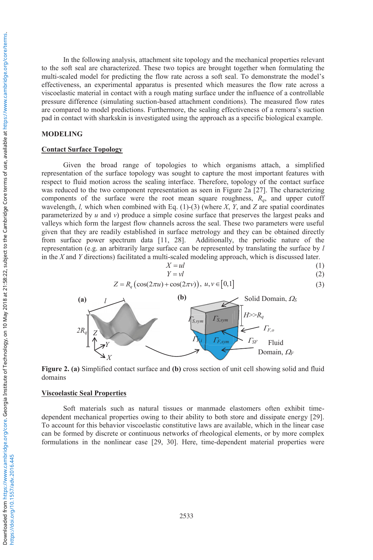In the following analysis, attachment site topology and the mechanical properties relevant to the soft seal are characterized. These two topics are brought together when formulating the multi-scaled model for predicting the flow rate across a soft seal. To demonstrate the model's effectiveness, an experimental apparatus is presented which measures the flow rate across a viscoelastic material in contact with a rough mating surface under the influence of a controllable pressure difference (simulating suction-based attachment conditions). The measured flow rates are compared to model predictions. Furthermore, the sealing effectiveness of a remora's suction pad in contact with sharkskin is investigated using the approach as a specific biological example.

### **MODELING**

### **Contact Surface Topology**

Given the broad range of topologies to which organisms attach, a simplified representation of the surface topology was sought to capture the most important features with respect to fluid motion across the sealing interface. Therefore, topology of the contact surface was reduced to the two component representation as seen in Figure 2a [27]. The characterizing components of the surface were the root mean square roughness, *Rq*, and upper cutoff wavelength, *l,* which when combined with Eq. (1)-(3) (where *X*, *Y*, and *Z* are spatial coordinates parameterized by *u* and *v*) produce a simple cosine surface that preserves the largest peaks and valleys which form the largest flow channels across the seal. These two parameters were useful given that they are readily established in surface metrology and they can be obtained directly from surface power spectrum data [11, 28]. Additionally, the periodic nature of the representation (e.g. an arbitrarily large surface can be represented by translating the surface by *l* in the *X* and *Y* directions) facilitated a multi-scaled modeling approach, which is discussed later.<br> $X = ul$  (1)

$$
X = ul
$$
  
\n
$$
Y = vl
$$
  
\n(1)  
\n(2)

$$
Z = R_q \left( \cos(2\pi u) + \cos(2\pi v) \right), \ u, v \in [0,1]
$$
 (3)



**Figure 2. (a)** Simplified contact surface and **(b)** cross section of unit cell showing solid and fluid domains

## **Viscoelastic Seal Properties**

Soft materials such as natural tissues or manmade elastomers often exhibit timedependent mechanical properties owing to their ability to both store and dissipate energy [29]. To account for this behavior viscoelastic constitutive laws are available, which in the linear case can be formed by discrete or continuous networks of rheological elements, or by more complex formulations in the nonlinear case [29, 30]. Here, time-dependent material properties were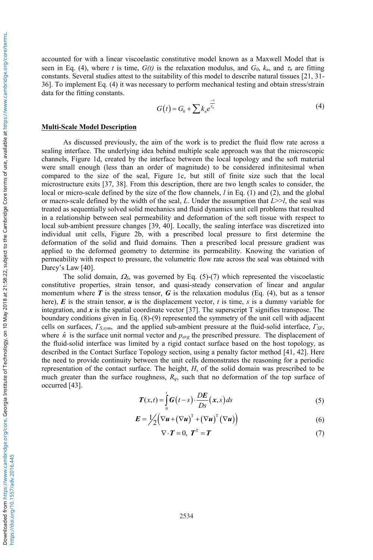accounted for with a linear viscoelastic constitutive model known as a Maxwell Model that is seen in Eq. (4), where *t* is time,  $G(t)$  is the relaxation modulus, and  $G_0$ ,  $k_n$ , and  $\tau_n$  are fitting constants. Several studies attest to the suitability of this model to describe natural tissues [21, 31- 36]. To implement Eq. (4) it was necessary to perform mechanical testing and obtain stress/strain data for the fitting constants.

$$
G(t) = G_0 + \sum k_n e^{\frac{-t}{r_n}}
$$
 (4)

#### **Multi-Scale Model Description**

As discussed previously, the aim of the work is to predict the fluid flow rate across a sealing interface. The underlying idea behind multiple scale approach was that the microscopic channels, Figure 1d, created by the interface between the local topology and the soft material were small enough (less than an order of magnitude) to be considered infinitesimal when compared to the size of the seal, Figure 1c, but still of finite size such that the local microstructure exits [37, 38]. From this description, there are two length scales to consider, the local or micro-scale defined by the size of the flow channels, *l* in Eq. (1) and (2), and the global or macro-scale defined by the width of the seal, *L*. Under the assumption that *L*>>*l*, the seal was treated as sequentially solved solid mechanics and fluid dynamics unit cell problems that resulted in a relationship between seal permeability and deformation of the soft tissue with respect to local sub-ambient pressure changes [39, 40]. Locally, the sealing interface was discretized into individual unit cells, Figure 2b, with a prescribed local pressure to first determine the deformation of the solid and fluid domains. Then a prescribed local pressure gradient was applied to the deformed geometry to determine its permeability. Knowing the variation of permeability with respect to pressure, the volumetric flow rate across the seal was obtained with Darcy's Law [40].

The solid domain,  $\Omega$ <sub>S</sub>, was governed by Eq. (5)-(7) which represented the viscoelastic constitutive properties, strain tensor, and quasi-steady conservation of linear and angular momentum where  $\boldsymbol{T}$  is the stress tensor,  $\boldsymbol{G}$  is the relaxation modulus (Eq. (4), but as a tensor here),  $\vec{E}$  is the strain tensor,  $\vec{u}$  is the displacement vector,  $t$  is time,  $\vec{s}$  is a dummy variable for integration, and *x* is the spatial coordinate vector [37]. The superscript T signifies transpose. The boundary conditions given in Eq. (8)-(9) represented the symmetry of the unit cell with adjacent cells on surfaces, *ΓS,sym*, and the applied sub-ambient pressure at the fluid-solid interface, *ΓSF*, where  $\hat{n}$  is the surface unit normal vector and  $p_{avg}$  the prescribed pressure. The displacement of the fluid-solid interface was limited by a rigid contact surface based on the host topology, as described in the Contact Surface Topology section, using a penalty factor method [41, 42]. Here the need to provide continuity between the unit cells demonstrates the reasoning for a periodic representation of the contact surface. The height, *H*, of the solid domain was prescribed to be much greater than the surface roughness, *Rq*, such that no deformation of the top surface of occurred [43].

$$
T(x,t) = \int_{0}^{t} G(t-s) \cdot \frac{DE}{Ds}(x,s) ds
$$
 (5)

$$
E = \frac{1}{2} \left( \nabla u + (\nabla u)^{\mathrm{T}} + (\nabla u)^{\mathrm{T}} (\nabla u) \right)
$$
 (6)

$$
\nabla \cdot \boldsymbol{T} = 0, \ \boldsymbol{T}^{\mathrm{T}} = \boldsymbol{T} \tag{7}
$$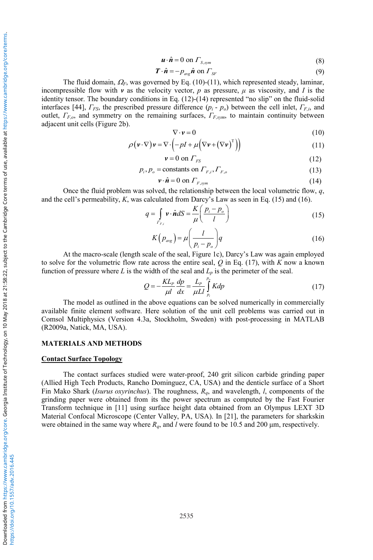$$
\mathbf{u} \cdot \hat{\mathbf{n}} = 0 \text{ on } \Gamma_{S,sym} \tag{8}
$$

$$
\boldsymbol{T} \cdot \hat{\boldsymbol{n}} = -p_{\text{avg}} \hat{\boldsymbol{n}} \text{ on } \boldsymbol{\varGamma}_{\text{SF}} \tag{9}
$$

The fluid domain,  $\Omega_F$ , was governed by Eq. (10)-(11), which represented steady, laminar, incompressible flow with *v* as the velocity vector, *p* as pressure,  $\mu$  as viscosity, and *I* is the identity tensor. The boundary conditions in Eq. (12)-(14) represented "no slip" on the fluid-solid interfaces [44], *ΓFS*, the prescribed pressure difference (*pi* - *po*) between the cell inlet, *ΓF,i*, and outlet, *ΓF,o*, and symmetry on the remaining surfaces, *ΓF,sym*, to maintain continuity between adjacent unit cells (Figure 2b).

$$
\nabla \cdot \mathbf{v} = 0 \tag{10}
$$

$$
\rho(\mathbf{v} \cdot \nabla)\mathbf{v} = \nabla \cdot \left( -pI + \mu \left( \nabla \mathbf{v} + (\nabla \mathbf{v})^T \right) \right) \tag{11}
$$

$$
v = 0 \text{ on } \Gamma_{FS} \tag{12}
$$

$$
p_i, p_o = \text{constants on } \Gamma_{F,i}, \Gamma_{F,o} \tag{13}
$$

$$
\mathbf{v} \cdot \hat{\mathbf{n}} = 0 \text{ on } \Gamma_{F, sym} \tag{14}
$$

Once the fluid problem was solved, the relationship between the local volumetric flow, *q*, and the cell's permeability, *K*, was calculated from Darcy's Law as seen in Eq. (15) and (16).

$$
q = \int_{\Gamma_{F,j}} \mathbf{v} \cdot \hat{\mathbf{n}} dS = \frac{K}{\mu} \left( \frac{p_i - p_o}{l} \right) \tag{15}
$$

$$
K(p_{avg}) = \mu \left(\frac{l}{p_i - p_o}\right) q
$$
\n(16)

At the macro-scale (length scale of the seal, Figure 1c), Darcy's Law was again employed to solve for the volumetric flow rate across the entire seal, *Q* in Eq. (17), with *K* now a known function of pressure where  $L$  is the width of the seal and  $L_p$  is the perimeter of the seal.

$$
Q = -\frac{KL_p}{\mu l} \frac{dp}{dx} = \frac{L_p}{\mu L l} \int_{p_i}^{p_q} K dp \tag{17}
$$

The model as outlined in the above equations can be solved numerically in commercially available finite element software. Here solution of the unit cell problems was carried out in Comsol Multiphysics (Version 4.3a, Stockholm, Sweden) with post-processing in MATLAB (R2009a, Natick, MA, USA).

#### **MATERIALS AND METHODS**

#### **Contact Surface Topology**

The contact surfaces studied were water-proof, 240 grit silicon carbide grinding paper (Allied High Tech Products, Rancho Dominguez, CA, USA) and the denticle surface of a Short Fin Mako Shark (*Isurus oxyrinchus*). The roughness, *Rq*, and wavelength, *l*, components of the grinding paper were obtained from its the power spectrum as computed by the Fast Fourier Transform technique in [11] using surface height data obtained from an Olympus LEXT 3D Material Confocal Microscope (Center Valley, PA, USA). In [21], the parameters for sharkskin were obtained in the same way where  $R_q$ , and *l* were found to be 10.5 and 200  $\mu$ m, respectively.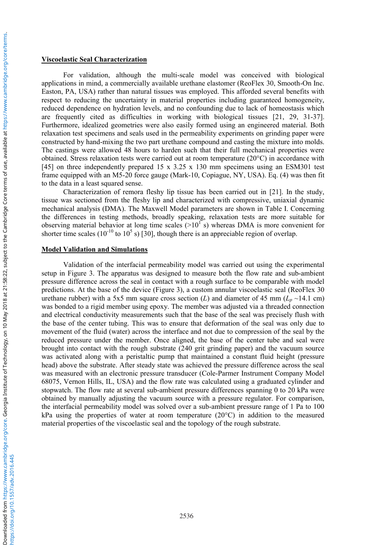#### **Viscoelastic Seal Characterization**

For validation, although the multi-scale model was conceived with biological applications in mind, a commercially available urethane elastomer (ReoFlex 30, Smooth-On Inc. Easton, PA, USA) rather than natural tissues was employed. This afforded several benefits with respect to reducing the uncertainty in material properties including guaranteed homogeneity, reduced dependence on hydration levels, and no confounding due to lack of homeostasis which are frequently cited as difficulties in working with biological tissues [21, 29, 31-37]. Furthermore, idealized geometries were also easily formed using an engineered material. Both relaxation test specimens and seals used in the permeability experiments on grinding paper were constructed by hand-mixing the two part urethane compound and casting the mixture into molds. The castings were allowed 48 hours to harden such that their full mechanical properties were obtained. Stress relaxation tests were carried out at room temperature (20°C) in accordance with [45] on three independently prepared 15 x 3.25 x 130 mm specimens using an ESM301 test frame equipped with an M5-20 force gauge (Mark-10, Copiague, NY, USA). Eq. (4) was then fit to the data in a least squared sense.

Characterization of remora fleshy lip tissue has been carried out in [21]. In the study, tissue was sectioned from the fleshy lip and characterized with compressive, uniaxial dynamic mechanical analysis (DMA). The Maxwell Model parameters are shown in Table I. Concerning the differences in testing methods, broadly speaking, relaxation tests are more suitable for observing material behavior at long time scales  $(>10^{17} s)$  whereas DMA is more convenient for shorter time scales ( $10^{-10}$  to  $10^5$  s) [30], though there is an appreciable region of overlap.

### **Model Validation and Simulations**

Validation of the interfacial permeability model was carried out using the experimental setup in Figure 3. The apparatus was designed to measure both the flow rate and sub-ambient pressure difference across the seal in contact with a rough surface to be comparable with model predictions. At the base of the device (Figure 3), a custom annular viscoelastic seal (ReoFlex 30 urethane rubber) with a 5x5 mm square cross section (*L*) and diameter of 45 mm ( $L_p \sim 14.1$  cm) was bonded to a rigid member using epoxy. The member was adjusted via a threaded connection and electrical conductivity measurements such that the base of the seal was precisely flush with the base of the center tubing. This was to ensure that deformation of the seal was only due to movement of the fluid (water) across the interface and not due to compression of the seal by the reduced pressure under the member. Once aligned, the base of the center tube and seal were brought into contact with the rough substrate (240 grit grinding paper) and the vacuum source was activated along with a peristaltic pump that maintained a constant fluid height (pressure head) above the substrate. After steady state was achieved the pressure difference across the seal was measured with an electronic pressure transducer (Cole-Parmer Instrument Company Model 68075, Vernon Hills, IL, USA) and the flow rate was calculated using a graduated cylinder and stopwatch. The flow rate at several sub-ambient pressure differences spanning 0 to 20 kPa were obtained by manually adjusting the vacuum source with a pressure regulator. For comparison, the interfacial permeability model was solved over a sub-ambient pressure range of 1 Pa to 100 kPa using the properties of water at room temperature  $(20^{\circ}C)$  in addition to the measured material properties of the viscoelastic seal and the topology of the rough substrate.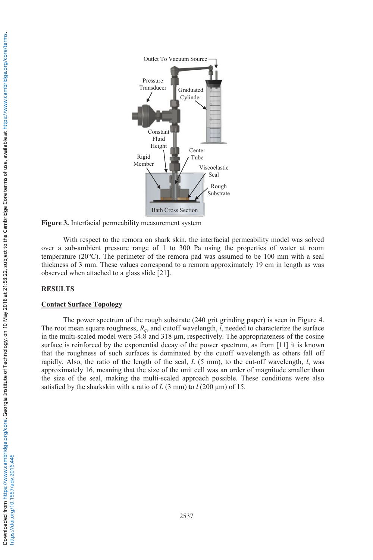

**Figure 3.** Interfacial permeability measurement system

With respect to the remora on shark skin, the interfacial permeability model was solved over a sub-ambient pressure range of 1 to 300 Pa using the properties of water at room temperature (20°C). The perimeter of the remora pad was assumed to be 100 mm with a seal thickness of 3 mm. These values correspond to a remora approximately 19 cm in length as was observed when attached to a glass slide [21].

## **RESULTS**

### **Contact Surface Topology**

The power spectrum of the rough substrate (240 grit grinding paper) is seen in Figure 4. The root mean square roughness,  $R<sub>q</sub>$ , and cutoff wavelength, *l*, needed to characterize the surface in the multi-scaled model were 34.8 and 318 μm, respectively. The appropriateness of the cosine surface is reinforced by the exponential decay of the power spectrum, as from [11] it is known that the roughness of such surfaces is dominated by the cutoff wavelength as others fall off rapidly. Also, the ratio of the length of the seal, *L* (5 mm), to the cut-off wavelength, *l*, was approximately 16, meaning that the size of the unit cell was an order of magnitude smaller than the size of the seal, making the multi-scaled approach possible. These conditions were also satisfied by the sharkskin with a ratio of *L* (3 mm) to *l* (200 μm) of 15.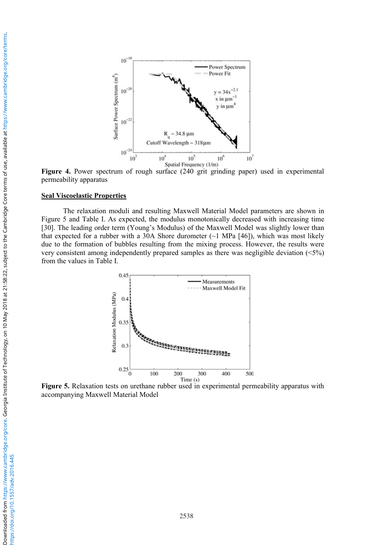

**Figure 4.** Power spectrum of rough surface (240 grit grinding paper) used in experimental permeability apparatus

#### **Seal Viscoelastic Properties**

The relaxation moduli and resulting Maxwell Material Model parameters are shown in Figure 5 and Table I. As expected, the modulus monotonically decreased with increasing time [30]. The leading order term (Young's Modulus) of the Maxwell Model was slightly lower than that expected for a rubber with a 30A Shore durometer  $(\sim 1 \text{ MPa } [46])$ , which was most likely due to the formation of bubbles resulting from the mixing process. However, the results were very consistent among independently prepared samples as there was negligible deviation (<5%) from the values in Table I.



**Figure 5.** Relaxation tests on urethane rubber used in experimental permeability apparatus with accompanying Maxwell Material Model

2538

https://doi.org/10.1557/adv.2016.445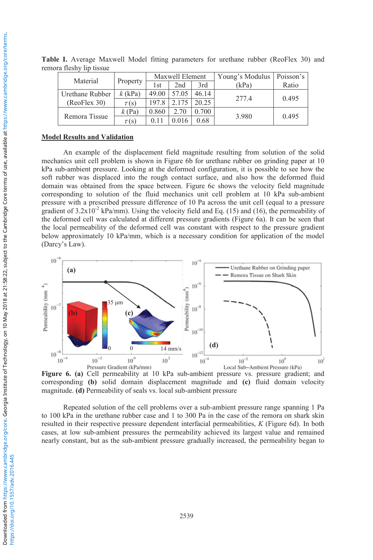| Material        | Property  | Maxwell Element |       |       | Young's Modulus | Poisson's |
|-----------------|-----------|-----------------|-------|-------|-----------------|-----------|
|                 |           | 1st             | 2nd   | 3rd   | (kPa)           | Ratio     |
| Urethane Rubber | $k$ (kPa) | 49.00           | 57.05 | 46.14 | 277.4           | 0.495     |
| (ReoFlex 30)    | $\tau(s)$ | 197.8           | 2.175 | 20.25 |                 |           |
| Remora Tissue   | $k$ (Pa)  | 0.860           | 2.70  | 0.700 | 3.980           | 0.495     |
|                 | $\tau(s)$ | 0.11            | 0.016 | 0.68  |                 |           |

**Table I.** Average Maxwell Model fitting parameters for urethane rubber (ReoFlex 30) and remora fleshy lip tissue

### **Model Results and Validation**

An example of the displacement field magnitude resulting from solution of the solid mechanics unit cell problem is shown in Figure 6b for urethane rubber on grinding paper at 10 kPa sub-ambient pressure. Looking at the deformed configuration, it is possible to see how the soft rubber was displaced into the rough contact surface, and also how the deformed fluid domain was obtained from the space between. Figure 6c shows the velocity field magnitude corresponding to solution of the fluid mechanics unit cell problem at 10 kPa sub-ambient pressure with a prescribed pressure difference of 10 Pa across the unit cell (equal to a pressure gradient of  $3.2 \times 10^{-2}$  kPa/mm). Using the velocity field and Eq. (15) and (16), the permeability of the deformed cell was calculated at different pressure gradients (Figure 6a). It can be seen that the local permeability of the deformed cell was constant with respect to the pressure gradient below approximately 10 kPa/mm, which is a necessary condition for application of the model (Darcy's Law).



**Figure 6. (a)** Cell permeability at 10 kPa sub-ambient pressure vs. pressure gradient; and corresponding **(b)** solid domain displacement magnitude and **(c)** fluid domain velocity magnitude. **(d)** Permeability of seals vs. local sub-ambient pressure

Repeated solution of the cell problems over a sub-ambient pressure range spanning 1 Pa to 100 kPa in the urethane rubber case and 1 to 300 Pa in the case of the remora on shark skin resulted in their respective pressure dependent interfacial permeabilities, *K* (Figure 6d). In both cases, at low sub-ambient pressures the permeability achieved its largest value and remained nearly constant, but as the sub-ambient pressure gradually increased, the permeability began to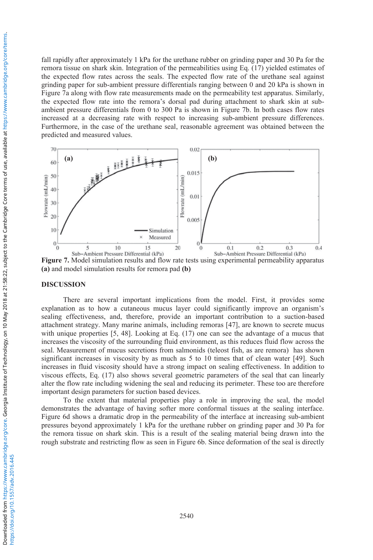fall rapidly after approximately 1 kPa for the urethane rubber on grinding paper and 30 Pa for the remora tissue on shark skin. Integration of the permeabilities using Eq. (17) yielded estimates of the expected flow rates across the seals. The expected flow rate of the urethane seal against grinding paper for sub-ambient pressure differentials ranging between 0 and 20 kPa is shown in Figure 7a along with flow rate measurements made on the permeability test apparatus. Similarly, the expected flow rate into the remora's dorsal pad during attachment to shark skin at subambient pressure differentials from 0 to 300 Pa is shown in Figure 7b. In both cases flow rates increased at a decreasing rate with respect to increasing sub-ambient pressure differences. Furthermore, in the case of the urethane seal, reasonable agreement was obtained between the predicted and measured values.



**Figure 7.** Model simulation results and flow rate tests using experimental permeability apparatus **(a)** and model simulation results for remora pad **(b)** 

#### **DISCUSSION**

There are several important implications from the model. First, it provides some explanation as to how a cutaneous mucus layer could significantly improve an organism's sealing effectiveness, and, therefore, provide an important contribution to a suction-based attachment strategy. Many marine animals, including remoras [47], are known to secrete mucus with unique properties [5, 48]. Looking at Eq. (17) one can see the advantage of a mucus that increases the viscosity of the surrounding fluid environment, as this reduces fluid flow across the seal. Measurement of mucus secretions from salmonids (teleost fish, as are remora) has shown significant increases in viscosity by as much as 5 to 10 times that of clean water [49]. Such increases in fluid viscosity should have a strong impact on sealing effectiveness. In addition to viscous effects, Eq. (17) also shows several geometric parameters of the seal that can linearly alter the flow rate including widening the seal and reducing its perimeter. These too are therefore important design parameters for suction based devices.

To the extent that material properties play a role in improving the seal, the model demonstrates the advantage of having softer more conformal tissues at the sealing interface. Figure 6d shows a dramatic drop in the permeability of the interface at increasing sub-ambient pressures beyond approximately 1 kPa for the urethane rubber on grinding paper and 30 Pa for the remora tissue on shark skin. This is a result of the sealing material being drawn into the rough substrate and restricting flow as seen in Figure 6b. Since deformation of the seal is directly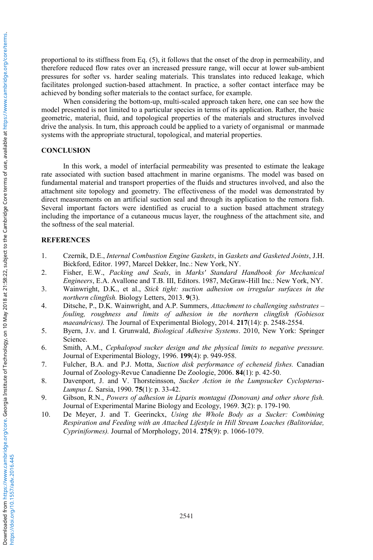proportional to its stiffness from Eq. (5), it follows that the onset of the drop in permeability, and therefore reduced flow rates over an increased pressure range, will occur at lower sub-ambient pressures for softer vs. harder sealing materials. This translates into reduced leakage, which facilitates prolonged suction-based attachment. In practice, a softer contact interface may be achieved by bonding softer materials to the contact surface, for example.

When considering the bottom-up, multi-scaled approach taken here, one can see how the model presented is not limited to a particular species in terms of its application. Rather, the basic geometric, material, fluid, and topological properties of the materials and structures involved drive the analysis. In turn, this approach could be applied to a variety of organismal or manmade systems with the appropriate structural, topological, and material properties.

## **CONCLUSION**

In this work, a model of interfacial permeability was presented to estimate the leakage rate associated with suction based attachment in marine organisms. The model was based on fundamental material and transport properties of the fluids and structures involved, and also the attachment site topology and geometry. The effectiveness of the model was demonstrated by direct measurements on an artificial suction seal and through its application to the remora fish. Several important factors were identified as crucial to a suction based attachment strategy including the importance of a cutaneous mucus layer, the roughness of the attachment site, and the softness of the seal material.

# **REFERENCES**

- 1. Czernik, D.E., *Internal Combustion Engine Gaskets*, in *Gaskets and Gasketed Joints*, J.H. Bickford, Editor. 1997, Marcel Dekker, Inc.: New York, NY.
- 2. Fisher, E.W., *Packing and Seals*, in *Marks' Standard Handbook for Mechanical Engineers*, E.A. Avallone and T.B. III, Editors. 1987, McGraw-Hill Inc.: New York, NY.
- 3. Wainwright, D.K., et al., *Stick tight: suction adhesion on irregular surfaces in the northern clingfish.* Biology Letters, 2013. **9**(3).
- 4. Ditsche, P., D.K. Wainwright, and A.P. Summers, *Attachment to challenging substrates – fouling, roughness and limits of adhesion in the northern clingfish (Gobiesox maeandricus).* The Journal of Experimental Biology, 2014. **217**(14): p. 2548-2554.
- 5. Byern, J.v. and I. Grunwald, *Biological Adhesive Systems*. 2010, New York: Springer Science.
- 6. Smith, A.M., *Cephalopod sucker design and the physical limits to negative pressure.* Journal of Experimental Biology, 1996. **199**(4): p. 949-958.
- 7. Fulcher, B.A. and P.J. Motta, *Suction disk performance of echeneid fishes.* Canadian Journal of Zoology-Revue Canadienne De Zoologie, 2006. **84**(1): p. 42-50.
- 8. Davenport, J. and V. Thorsteinsson, *Sucker Action in the Lumpsucker Cyclopterus-Lumpus L.* Sarsia, 1990. **75**(1): p. 33-42.
- 9. Gibson, R.N., *Powers of adhesion in Liparis montagui (Donovan) and other shore fish.* Journal of Experimental Marine Biology and Ecology, 1969. **3**(2): p. 179-190.
- 10. De Meyer, J. and T. Geerinckx, *Using the Whole Body as a Sucker: Combining Respiration and Feeding with an Attached Lifestyle in Hill Stream Loaches (Balitoridae, Cypriniformes).* Journal of Morphology, 2014. **275**(9): p. 1066-1079.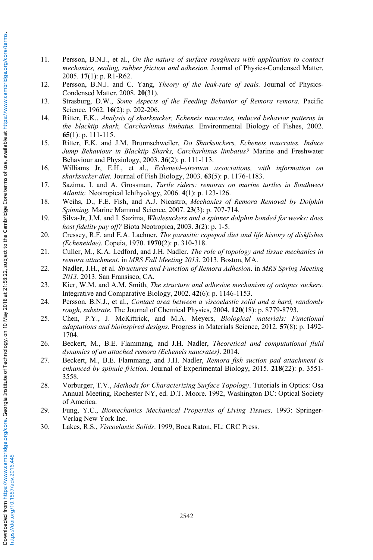- 11. Persson, B.N.J., et al., *On the nature of surface roughness with application to contact mechanics, sealing, rubber friction and adhesion.* Journal of Physics-Condensed Matter, 2005. **17**(1): p. R1-R62.
- 12. Persson, B.N.J. and C. Yang, *Theory of the leak-rate of seals.* Journal of Physics-Condensed Matter, 2008. **20**(31).
- 13. Strasburg, D.W., *Some Aspects of the Feeding Behavior of Remora remora.* Pacific Science, 1962. **16**(2): p. 202-206.
- 14. Ritter, E.K., *Analysis of sharksucker, Echeneis naucrates, induced behavior patterns in the blacktip shark, Carcharhinus limbatus.* Environmental Biology of Fishes, 2002. **65**(1): p. 111-115.
- 15. Ritter, E.K. and J.M. Brunnschweiler, *Do Sharksuckers, Echeneis naucrates, Induce Jump Behaviour in Blacktip Sharks, Carcharhinus limbatus?* Marine and Freshwater Behaviour and Physiology, 2003. **36**(2): p. 111-113.
- 16. Williams Jr, E.H., et al., *Echeneid–sirenian associations, with information on sharksucker diet.* Journal of Fish Biology, 2003. **63**(5): p. 1176-1183.
- 17. Sazima, I. and A. Grossman, *Turtle riders: remoras on marine turtles in Southwest Atlantic.* Neotropical Ichthyology, 2006. **4**(1): p. 123-126.
- 18. Weihs, D., F.E. Fish, and A.J. Nicastro, *Mechanics of Remora Removal by Dolphin Spinning.* Marine Mammal Science, 2007. **23**(3): p. 707-714.
- 19. Silva-Jr, J.M. and I. Sazima, *Whalesuckers and a spinner dolphin bonded for weeks: does host fidelity pay off?* Biota Neotropica, 2003. **3**(2): p. 1-5.
- 20. Cressey, R.F. and E.A. Lachner, *The parasitic copepod diet and life history of diskfishes (Echeneidae).* Copeia, 1970. **1970**(2): p. 310-318.
- 21. Culler, M., K.A. Ledford, and J.H. Nadler. *The role of topology and tissue mechanics in remora attachment*. in *MRS Fall Meeting 2013*. 2013. Boston, MA.
- 22. Nadler, J.H., et al. *Structures and Function of Remora Adhesion*. in *MRS Spring Meeting 2013*. 2013. San Fransisco, CA.
- 23. Kier, W.M. and A.M. Smith, *The structure and adhesive mechanism of octopus suckers.* Integrative and Comparative Biology, 2002. **42**(6): p. 1146-1153.
- 24. Persson, B.N.J., et al., *Contact area between a viscoelastic solid and a hard, randomly rough, substrate.* The Journal of Chemical Physics, 2004. **120**(18): p. 8779-8793.
- 25. Chen, P.Y., J. McKittrick, and M.A. Meyers, *Biological materials: Functional adaptations and bioinspired designs.* Progress in Materials Science, 2012. **57**(8): p. 1492- 1704.
- 26. Beckert, M., B.E. Flammang, and J.H. Nadler, *Theoretical and computational fluid dynamics of an attached remora (Echeneis naucrates)*. 2014.
- 27. Beckert, M., B.E. Flammang, and J.H. Nadler, *Remora fish suction pad attachment is enhanced by spinule friction.* Journal of Experimental Biology, 2015. **218**(22): p. 3551- 3558.
- 28. Vorburger, T.V., *Methods for Characterizing Surface Topology*. Tutorials in Optics: Osa Annual Meeting, Rochester NY, ed. D.T. Moore. 1992, Washington DC: Optical Society of America.
- 29. Fung, Y.C., *Biomechanics Mechanical Properties of Living Tissues*. 1993: Springer-Verlag New York Inc.
- 30. Lakes, R.S., *Viscoelastic Solids*. 1999, Boca Raton, FL: CRC Press.